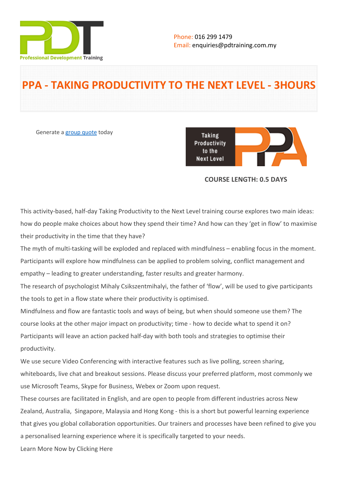

# **PPA - TAKING PRODUCTIVITY TO THE NEXT LEVEL - 3HOURS**

Generate a [group quote](https://pdtraining.com.my/inhouse-training-quote?cse=PDTP4753_C) today

**Taking** Productivity to the **Next Level** 

## **COURSE LENGTH: 0.5 DAYS**

This activity-based, half-day Taking Productivity to the Next Level training course explores two main ideas: how do people make choices about how they spend their time? And how can they 'get in flow' to maximise their productivity in the time that they have?

The myth of multi-tasking will be exploded and replaced with mindfulness – enabling focus in the moment. Participants will explore how mindfulness can be applied to problem solving, conflict management and empathy – leading to greater understanding, faster results and greater harmony.

The research of psychologist Mihaly Csikszentmihalyi, the father of 'flow', will be used to give participants the tools to get in a flow state where their productivity is optimised.

Mindfulness and flow are fantastic tools and ways of being, but when should someone use them? The course looks at the other major impact on productivity; time - how to decide what to spend it on? Participants will leave an action packed half-day with both tools and strategies to optimise their productivity.

We use secure Video Conferencing with interactive features such as live polling, screen sharing, whiteboards, live chat and breakout sessions. Please discuss your preferred platform, most commonly we use Microsoft Teams, Skype for Business, Webex or Zoom upon request.

These courses are facilitated in English, and are open to people from different industries across New Zealand, Australia, Singapore, Malaysia and Hong Kong - this is a short but powerful learning experience that gives you global collaboration opportunities. Our trainers and processes have been refined to give you a personalised learning experience where it is specifically targeted to your needs.

[Learn More Now by Clicking Here](http://productivepeople.co/part-4-taking-productivity.html)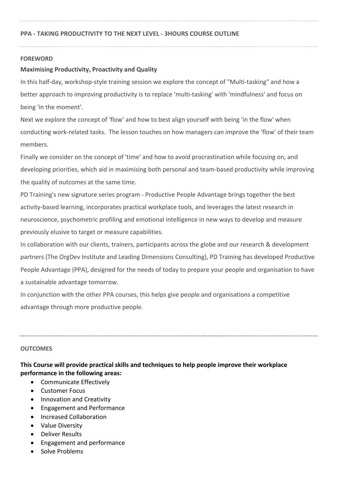## **FOREWORD**

## **Maximising Productivity, Proactivity and Quality**

In this half-day, workshop-style training session we explore the concept of "Multi-tasking" and how a better approach to improving productivity is to replace 'multi-tasking' with 'mindfulness' and focus on being 'in the moment'.

Next we explore the concept of 'flow' and how to best align yourself with being 'in the flow' when conducting work-related tasks. The lesson touches on how managers can improve the 'flow' of their team members.

Finally we consider on the concept of 'time' and how to avoid procrastination while focusing on, and developing priorities, which aid in maximising both personal and team-based productivity while improving the quality of outcomes at the same time.

PD Training's new signature series program - Productive People Advantage brings together the best activity-based learning, incorporates practical workplace tools, and leverages the latest research in neuroscience, psychometric profiling and emotional intelligence in new ways to develop and measure previously elusive to target or measure capabilities.

In collaboration with our clients, trainers, participants across the globe and our research & development partners (The OrgDev Institute and Leading Dimensions Consulting), PD Training has developed Productive People Advantage (PPA), designed for the needs of today to prepare your people and organisation to have a sustainable advantage tomorrow.

In conjunction with the other PPA courses, this helps give people and organisations a competitive advantage through more productive people.

## **OUTCOMES**

## **This Course will provide practical skills and techniques to help people improve their workplace performance in the following areas:**

- Communicate Effectively
- Customer Focus
- Innovation and Creativity
- Engagement and Performance
- Increased Collaboration
- Value Diversity
- Deliver Results
- Engagement and performance
- Solve Problems